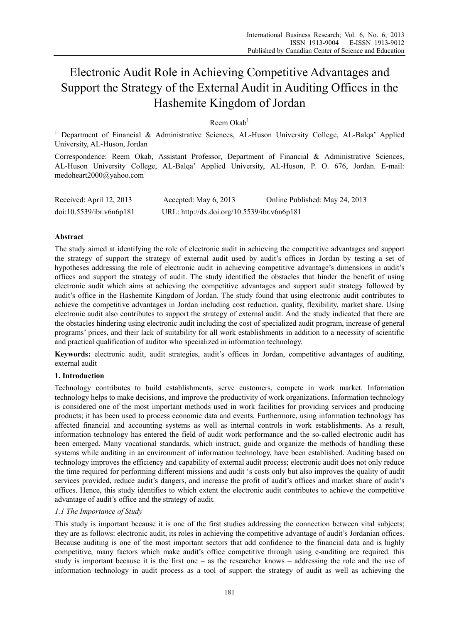# Electronic Audit Role in Achieving Competitive Advantages and Support the Strategy of the External Audit in Auditing Offices in the Hashemite Kingdom of Jordan

# $R$ eem Okab $<sup>1</sup>$ </sup>

<sup>1</sup> Department of Financial & Administrative Sciences, AL-Huson University College, AL-Balqa' Applied University, AL-Huson, Jordan

Correspondence: Reem Okab, Assistant Professor, Department of Financial & Administrative Sciences, AL-Huson University College, AL-Balqa' Applied University, AL-Huson, P. O. 676, Jordan. E-mail: medoheart2000@yahoo.com

| Received: April 12, 2013 | Accepted: May $6, 2013$                     | Online Published: May 24, 2013 |
|--------------------------|---------------------------------------------|--------------------------------|
| doi:10.5539/ibr.v6n6p181 | URL: http://dx.doi.org/10.5539/ibr.v6n6p181 |                                |

# **Abstract**

The study aimed at identifying the role of electronic audit in achieving the competitive advantages and support the strategy of support the strategy of external audit used by audit's offices in Jordan by testing a set of hypotheses addressing the role of electronic audit in achieving competitive advantage's dimensions in audit's offices and support the strategy of audit. The study identified the obstacles that hinder the benefit of using electronic audit which aims at achieving the competitive advantages and support audit strategy followed by audit's office in the Hashemite Kingdom of Jordan. The study found that using electronic audit contributes to achieve the competitive advantages in Jordan including cost reduction, quality, flexibility, market share. Using electronic audit also contributes to support the strategy of external audit. And the study indicated that there are the obstacles hindering using electronic audit including the cost of specialized audit program, increase of general programs' prices, and their lack of suitability for all work establishments in addition to a necessity of scientific and practical qualification of auditor who specialized in information technology.

**Keywords:** electronic audit, audit strategies, audit's offices in Jordan, competitive advantages of auditing, external audit

## **1. Introduction**

Technology contributes to build establishments, serve customers, compete in work market. Information technology helps to make decisions, and improve the productivity of work organizations. Information technology is considered one of the most important methods used in work facilities for providing services and producing products; it has been used to process economic data and events. Furthermore, using information technology has affected financial and accounting systems as well as internal controls in work establishments. As a result, information technology has entered the field of audit work performance and the so-called electronic audit has been emerged. Many vocational standards, which instruct, guide and organize the methods of handling these systems while auditing in an environment of information technology, have been established. Auditing based on technology improves the efficiency and capability of external audit process; electronic audit does not only reduce the time required for performing different missions and audit 's costs only but also improves the quality of audit services provided, reduce audit's dangers, and increase the profit of audit's offices and market share of audit's offices. Hence, this study identifies to which extent the electronic audit contributes to achieve the competitive advantage of audit's office and the strategy of audit.

#### *1.1 The Importance of Study*

This study is important because it is one of the first studies addressing the connection between vital subjects; they are as follows: electronic audit, its roles in achieving the competitive advantage of audit's Jordanian offices. Because auditing is one of the most important sectors that add confidence to the financial data and is highly competitive, many factors which make audit's office competitive through using e-auditing are required. this study is important because it is the first one – as the researcher knows – addressing the role and the use of information technology in audit process as a tool of support the strategy of audit as well as achieving the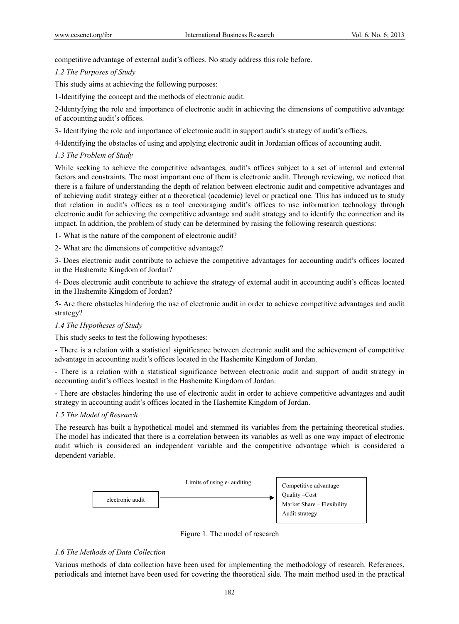competitive advantage of external audit's offices. No study address this role before.

# *1.2 The Purposes of Study*

This study aims at achieving the following purposes:

1-Identifying the concept and the methods of electronic audit.

2-Identyfying the role and importance of electronic audit in achieving the dimensions of competitive advantage of accounting audit's offices.

3- Identifying the role and importance of electronic audit in support audit's strategy of audit's offices.

4-Identifying the obstacles of using and applying electronic audit in Jordanian offices of accounting audit.

# *1.3 The Problem of Study*

While seeking to achieve the competitive advantages, audit's offices subject to a set of internal and external factors and constraints. The most important one of them is electronic audit. Through reviewing, we noticed that there is a failure of understanding the depth of relation between electronic audit and competitive advantages and of achieving audit strategy either at a theoretical (academic) level or practical one. This has induced us to study that relation in audit's offices as a tool encouraging audit's offices to use information technology through electronic audit for achieving the competitive advantage and audit strategy and to identify the connection and its impact. In addition, the problem of study can be determined by raising the following research questions:

1- What is the nature of the component of electronic audit?

2- What are the dimensions of competitive advantage?

3- Does electronic audit contribute to achieve the competitive advantages for accounting audit's offices located in the Hashemite Kingdom of Jordan?

4- Does electronic audit contribute to achieve the strategy of external audit in accounting audit's offices located in the Hashemite Kingdom of Jordan?

5- Are there obstacles hindering the use of electronic audit in order to achieve competitive advantages and audit strategy?

#### *1.4 The Hypotheses of Study*

This study seeks to test the following hypotheses:

- There is a relation with a statistical significance between electronic audit and the achievement of competitive advantage in accounting audit's offices located in the Hashemite Kingdom of Jordan.

- There is a relation with a statistical significance between electronic audit and support of audit strategy in accounting audit's offices located in the Hashemite Kingdom of Jordan.

- There are obstacles hindering the use of electronic audit in order to achieve competitive advantages and audit strategy in accounting audit's offices located in the Hashemite Kingdom of Jordan.

#### *1.5 The Model of Research*

The research has built a hypothetical model and stemmed its variables from the pertaining theoretical studies. The model has indicated that there is a correlation between its variables as well as one way impact of electronic audit which is considered an independent variable and the competitive advantage which is considered a dependent variable.



Figure 1. The model of research

#### *1.6 The Methods of Data Collection*

Various methods of data collection have been used for implementing the methodology of research. References, periodicals and internet have been used for covering the theoretical side. The main method used in the practical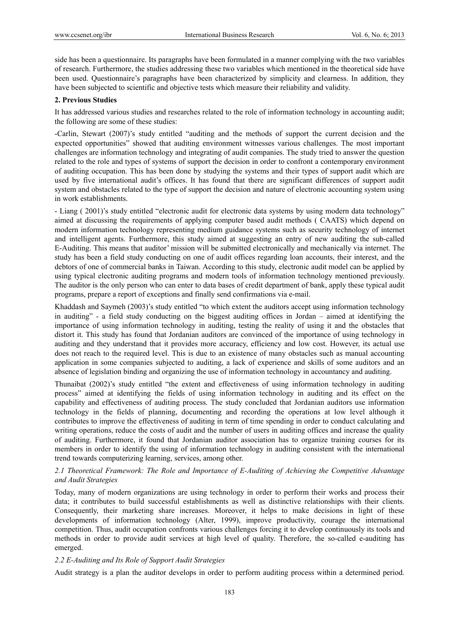side has been a questionnaire. Its paragraphs have been formulated in a manner complying with the two variables of research. Furthermore, the studies addressing these two variables which mentioned in the theoretical side have been used. Questionnaire's paragraphs have been characterized by simplicity and clearness. In addition, they have been subjected to scientific and objective tests which measure their reliability and validity.

#### **2. Previous Studies**

It has addressed various studies and researches related to the role of information technology in accounting audit; the following are some of these studies:

-Carlin, Stewart (2007)'s study entitled "auditing and the methods of support the current decision and the expected opportunities" showed that auditing environment witnesses various challenges. The most important challenges are information technology and integrating of audit companies. The study tried to answer the question related to the role and types of systems of support the decision in order to confront a contemporary environment of auditing occupation. This has been done by studying the systems and their types of support audit which are used by five international audit's offices. It has found that there are significant differences of support audit system and obstacles related to the type of support the decision and nature of electronic accounting system using in work establishments.

- Liang ( 2001)'s study entitled "electronic audit for electronic data systems by using modern data technology" aimed at discussing the requirements of applying computer based audit methods ( CAATS) which depend on modern information technology representing medium guidance systems such as security technology of internet and intelligent agents. Furthermore, this study aimed at suggesting an entry of new auditing the sub-called E-Auditing. This means that auditor' mission will be submitted electronically and mechanically via internet. The study has been a field study conducting on one of audit offices regarding loan accounts, their interest, and the debtors of one of commercial banks in Taiwan. According to this study, electronic audit model can be applied by using typical electronic auditing programs and modern tools of information technology mentioned previously. The auditor is the only person who can enter to data bases of credit department of bank, apply these typical audit programs, prepare a report of exceptions and finally send confirmations via e-mail.

Khaddash and Saymeh (2003)'s study entitled "to which extent the auditors accept using information technology in auditing" - a field study conducting on the biggest auditing offices in Jordan – aimed at identifying the importance of using information technology in auditing, testing the reality of using it and the obstacles that distort it. This study has found that Jordanian auditors are convinced of the importance of using technology in auditing and they understand that it provides more accuracy, efficiency and low cost. However, its actual use does not reach to the required level. This is due to an existence of many obstacles such as manual accounting application in some companies subjected to auditing, a lack of experience and skills of some auditors and an absence of legislation binding and organizing the use of information technology in accountancy and auditing.

Thunaibat (2002)'s study entitled "the extent and effectiveness of using information technology in auditing process" aimed at identifying the fields of using information technology in auditing and its effect on the capability and effectiveness of auditing process. The study concluded that Jordanian auditors use information technology in the fields of planning, documenting and recording the operations at low level although it contributes to improve the effectiveness of auditing in term of time spending in order to conduct calculating and writing operations, reduce the costs of audit and the number of users in auditing offices and increase the quality of auditing. Furthermore, it found that Jordanian auditor association has to organize training courses for its members in order to identify the using of information technology in auditing consistent with the international trend towards computerizing learning, services, among other.

# *2.1 Theoretical Framework: The Role and Importance of E-Auditing of Achieving the Competitive Advantage and Audit Strategies*

Today, many of modern organizations are using technology in order to perform their works and process their data; it contributes to build successful establishments as well as distinctive relationships with their clients. Consequently, their marketing share increases. Moreover, it helps to make decisions in light of these developments of information technology (Alter, 1999), improve productivity, courage the international competition. Thus, audit occupation confronts various challenges forcing it to develop continuously its tools and methods in order to provide audit services at high level of quality. Therefore, the so-called e-auditing has emerged.

# *2.2 E-Auditing and Its Role of Support Audit Strategies*

Audit strategy is a plan the auditor develops in order to perform auditing process within a determined period.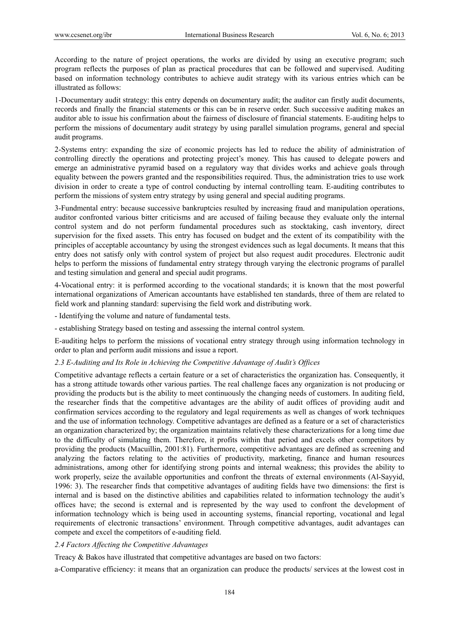According to the nature of project operations, the works are divided by using an executive program; such program reflects the purposes of plan as practical procedures that can be followed and supervised. Auditing based on information technology contributes to achieve audit strategy with its various entries which can be illustrated as follows:

1-Documentary audit strategy: this entry depends on documentary audit; the auditor can firstly audit documents, records and finally the financial statements or this can be in reserve order. Such successive auditing makes an auditor able to issue his confirmation about the fairness of disclosure of financial statements. E-auditing helps to perform the missions of documentary audit strategy by using parallel simulation programs, general and special audit programs.

2-Systems entry: expanding the size of economic projects has led to reduce the ability of administration of controlling directly the operations and protecting project's money. This has caused to delegate powers and emerge an administrative pyramid based on a regulatory way that divides works and achieve goals through equality between the powers granted and the responsibilities required. Thus, the administration tries to use work division in order to create a type of control conducting by internal controlling team. E-auditing contributes to perform the missions of system entry strategy by using general and special auditing programs.

3-Fundmental entry: because successive bankruptcies resulted by increasing fraud and manipulation operations, auditor confronted various bitter criticisms and are accused of failing because they evaluate only the internal control system and do not perform fundamental procedures such as stocktaking, cash inventory, direct supervision for the fixed assets. This entry has focused on budget and the extent of its compatibility with the principles of acceptable accountancy by using the strongest evidences such as legal documents. It means that this entry does not satisfy only with control system of project but also request audit procedures. Electronic audit helps to perform the missions of fundamental entry strategy through varying the electronic programs of parallel and testing simulation and general and special audit programs.

4-Vocational entry: it is performed according to the vocational standards; it is known that the most powerful international organizations of American accountants have established ten standards, three of them are related to field work and planning standard: supervising the field work and distributing work.

- Identifying the volume and nature of fundamental tests.

- establishing Strategy based on testing and assessing the internal control system.

E-auditing helps to perform the missions of vocational entry strategy through using information technology in order to plan and perform audit missions and issue a report.

# *2.3 E-Auditing and Its Role in Achieving the Competitive Advantage of Audit's Offices*

Competitive advantage reflects a certain feature or a set of characteristics the organization has. Consequently, it has a strong attitude towards other various parties. The real challenge faces any organization is not producing or providing the products but is the ability to meet continuously the changing needs of customers. In auditing field, the researcher finds that the competitive advantages are the ability of audit offices of providing audit and confirmation services according to the regulatory and legal requirements as well as changes of work techniques and the use of information technology. Competitive advantages are defined as a feature or a set of characteristics an organization characterized by; the organization maintains relatively these characterizations for a long time due to the difficulty of simulating them. Therefore, it profits within that period and excels other competitors by providing the products (Macuillin, 2001:81). Furthermore, competitive advantages are defined as screening and analyzing the factors relating to the activities of productivity, marketing, finance and human resources administrations, among other for identifying strong points and internal weakness; this provides the ability to work properly, seize the available opportunities and confront the threats of external environments (Al-Sayyid, 1996: 3). The researcher finds that competitive advantages of auditing fields have two dimensions: the first is internal and is based on the distinctive abilities and capabilities related to information technology the audit's offices have; the second is external and is represented by the way used to confront the development of information technology which is being used in accounting systems, financial reporting, vocational and legal requirements of electronic transactions' environment. Through competitive advantages, audit advantages can compete and excel the competitors of e-auditing field.

#### *2.4 Factors Affecting the Competitive Advantages*

Treacy & Bakos have illustrated that competitive advantages are based on two factors:

a-Comparative efficiency: it means that an organization can produce the products/ services at the lowest cost in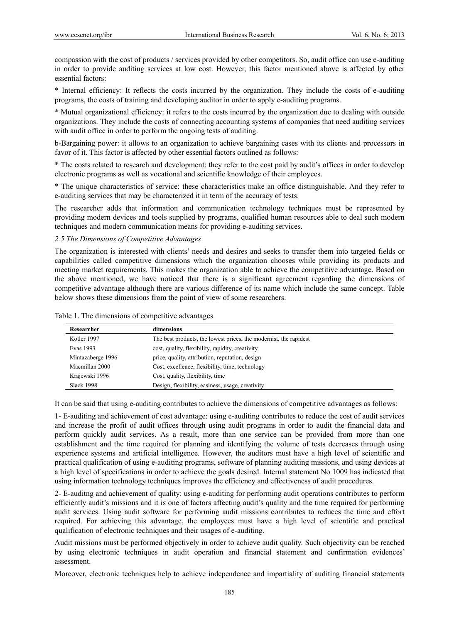compassion with the cost of products / services provided by other competitors. So, audit office can use e-auditing in order to provide auditing services at low cost. However, this factor mentioned above is affected by other essential factors:

\* Internal efficiency: It reflects the costs incurred by the organization. They include the costs of e-auditing programs, the costs of training and developing auditor in order to apply e-auditing programs.

\* Mutual organizational efficiency: it refers to the costs incurred by the organization due to dealing with outside organizations. They include the costs of connecting accounting systems of companies that need auditing services with audit office in order to perform the ongoing tests of auditing.

b-Bargaining power: it allows to an organization to achieve bargaining cases with its clients and processors in favor of it. This factor is affected by other essential factors outlined as follows:

\* The costs related to research and development: they refer to the cost paid by audit's offices in order to develop electronic programs as well as vocational and scientific knowledge of their employees.

\* The unique characteristics of service: these characteristics make an office distinguishable. And they refer to e-auditing services that may be characterized it in term of the accuracy of tests.

The researcher adds that information and communication technology techniques must be represented by providing modern devices and tools supplied by programs, qualified human resources able to deal such modern techniques and modern communication means for providing e-auditing services.

*2.5 The Dimensions of Competitive Advantages* 

The organization is interested with clients' needs and desires and seeks to transfer them into targeted fields or capabilities called competitive dimensions which the organization chooses while providing its products and meeting market requirements. This makes the organization able to achieve the competitive advantage. Based on the above mentioned, we have noticed that there is a significant agreement regarding the dimensions of competitive advantage although there are various difference of its name which include the same concept. Table below shows these dimensions from the point of view of some researchers.

| Researcher        | dimensions                                                        |
|-------------------|-------------------------------------------------------------------|
| Kotler 1997       | The best products, the lowest prices, the modernist, the rapidest |
| Evas 1993         | cost, quality, flexibility, rapidity, creativity                  |
| Mintazaberge 1996 | price, quality, attribution, reputation, design                   |
| Macmillan 2000    | Cost, excellence, flexibility, time, technology                   |
| Krajewski 1996    | Cost, quality, flexibility, time                                  |
| <b>Slack 1998</b> | Design, flexibility, easiness, usage, creativity                  |

Table 1. The dimensions of competitive advantages

It can be said that using e-auditing contributes to achieve the dimensions of competitive advantages as follows:

1- E-auditing and achievement of cost advantage: using e-auditing contributes to reduce the cost of audit services and increase the profit of audit offices through using audit programs in order to audit the financial data and perform quickly audit services. As a result, more than one service can be provided from more than one establishment and the time required for planning and identifying the volume of tests decreases through using experience systems and artificial intelligence. However, the auditors must have a high level of scientific and practical qualification of using e-auditing programs, software of planning auditing missions, and using devices at a high level of specifications in order to achieve the goals desired. Internal statement No 1009 has indicated that using information technology techniques improves the efficiency and effectiveness of audit procedures.

2- E-auditng and achievement of quality: using e-auditing for performing audit operations contributes to perform efficiently audit's missions and it is one of factors affecting audit's quality and the time required for performing audit services. Using audit software for performing audit missions contributes to reduces the time and effort required. For achieving this advantage, the employees must have a high level of scientific and practical qualification of electronic techniques and their usages of e-auditing.

Audit missions must be performed objectively in order to achieve audit quality. Such objectivity can be reached by using electronic techniques in audit operation and financial statement and confirmation evidences' assessment.

Moreover, electronic techniques help to achieve independence and impartiality of auditing financial statements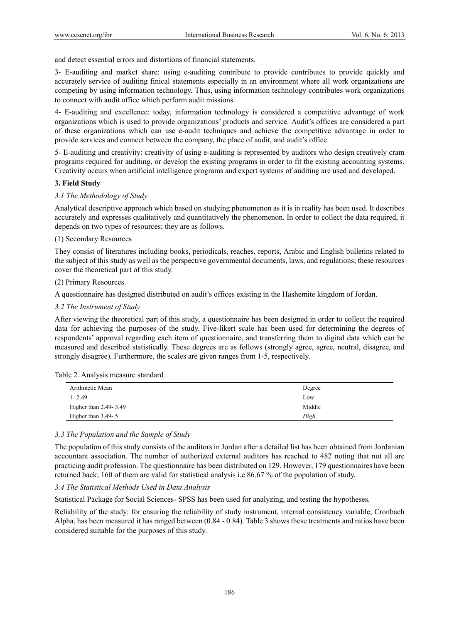and detect essential errors and distortions of financial statements.

3- E-auditing and market share: using e-auditing contribute to provide contributes to provide quickly and accurately service of auditing finical statements especially in an environment where all work organizations are competing by using information technology. Thus, using information technology contributes work organizations to connect with audit office which perform audit missions.

4- E-auditing and excellence: today, information technology is considered a competitive advantage of work organizations which is used to provide organizations' products and service. Audit's offices are considered a part of these organizations which can use e-audit techniques and achieve the competitive advantage in order to provide services and connect between the company, the place of audit, and audit's office.

5- E-auditing and creativity: creativity of using e-auditing is represented by auditors who design creatively cram programs required for auditing, or develop the existing programs in order to fit the existing accounting systems. Creativity occurs when artificial intelligence programs and expert systems of auditing are used and developed.

# **3. Field Study**

# *3.1 The Methodology of Study*

Analytical descriptive approach which based on studying phenomenon as it is in reality has been used. It describes accurately and expresses qualitatively and quantitatively the phenomenon. In order to collect the data required, it depends on two types of resources; they are as follows.

# (1) Secondary Resources

They consist of literatures including books, periodicals, reaches, reports, Arabic and English bulletins related to the subject of this study as well as the perspective governmental documents, laws, and regulations; these resources cover the theoretical part of this study.

# (2) Primary Resources

A questionnaire has designed distributed on audit's offices existing in the Hashemite kingdom of Jordan.

#### *3.2 The Instrument of Study*

After viewing the theoretical part of this study, a questionnaire has been designed in order to collect the required data for achieving the purposes of the study. Five-likert scale has been used for determining the degrees of respondents' approval regarding each item of questionnaire, and transferring them to digital data which can be measured and described statistically. These degrees are as follows (strongly agree, agree, neutral, disagree, and strongly disagree). Furthermore, the scales are given ranges from 1-5, respectively.

| Arithmetic Mean           | Degree |
|---------------------------|--------|
| $1 - 2.49$                | Low    |
| Higher than $2.49 - 3.49$ | Middle |
| Higher than 3.49-5        | High   |

#### Table 2. Analysis measure standard

# *3.3 The Population and the Sample of Study*

The population of this study consists of the auditors in Jordan after a detailed list has been obtained from Jordanian accountant association. The number of authorized external auditors has reached to 482 noting that not all are practicing audit profession. The questionnaire has been distributed on 129. However, 179 questionnaires have been returned back; 160 of them are valid for statistical analysis i.e 86.67 % of the population of study.

## *3.4 The Statistical Methods Used in Data Analysis*

Statistical Package for Social Sciences- SPSS has been used for analyzing, and testing the hypotheses.

Reliability of the study: for ensuring the reliability of study instrument, internal consistency variable, Cronbach Alpha, has been measured it has ranged between (0.84 - 0.84). Table 3 shows these treatments and ratios have been considered suitable for the purposes of this study.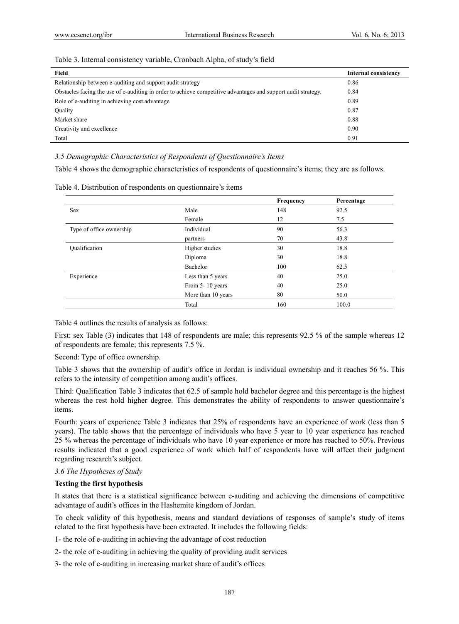| Table 3. Internal consistency variable, Cronbach Alpha, of study's field |  |
|--------------------------------------------------------------------------|--|
|                                                                          |  |

| Field                                                                                                         | <b>Internal consistency</b> |
|---------------------------------------------------------------------------------------------------------------|-----------------------------|
| Relationship between e-auditing and support audit strategy                                                    | 0.86                        |
| Obstacles facing the use of e-auditing in order to achieve competitive advantages and support audit strategy. | 0.84                        |
| Role of e-auditing in achieving cost advantage                                                                | 0.89                        |
| Ouality                                                                                                       | 0.87                        |
| Market share                                                                                                  | 0.88                        |
| Creativity and excellence                                                                                     | 0.90                        |
| Total                                                                                                         | 0.91                        |

#### *3.5 Demographic Characteristics of Respondents of Questionnaire's Items*

Table 4 shows the demographic characteristics of respondents of questionnaire's items; they are as follows.

|                          |                    | Frequency | Percentage |
|--------------------------|--------------------|-----------|------------|
| Sex                      | Male               | 148       | 92.5       |
|                          | Female             | 12        | 7.5        |
| Type of office ownership | Individual         | 90        | 56.3       |
|                          | partners           | 70        | 43.8       |
| Qualification            | Higher studies     | 30        | 18.8       |
|                          | Diploma            | 30        | 18.8       |
|                          | Bachelor           | 100       | 62.5       |
| Experience               | Less than 5 years  | 40        | 25.0       |
|                          | From 5-10 years    | 40        | 25.0       |
|                          | More than 10 years | 80        | 50.0       |
|                          | Total              | 160       | 100.0      |

Table 4. Distribution of respondents on questionnaire's items

Table 4 outlines the results of analysis as follows:

First: sex Table (3) indicates that 148 of respondents are male; this represents 92.5 % of the sample whereas 12 of respondents are female; this represents 7.5 %.

Second: Type of office ownership.

Table 3 shows that the ownership of audit's office in Jordan is individual ownership and it reaches 56 %. This refers to the intensity of competition among audit's offices.

Third: Qualification Table 3 indicates that 62.5 of sample hold bachelor degree and this percentage is the highest whereas the rest hold higher degree. This demonstrates the ability of respondents to answer questionnaire's items.

Fourth: years of experience Table 3 indicates that 25% of respondents have an experience of work (less than 5 years). The table shows that the percentage of individuals who have 5 year to 10 year experience has reached 25 % whereas the percentage of individuals who have 10 year experience or more has reached to 50%. Previous results indicated that a good experience of work which half of respondents have will affect their judgment regarding research's subject.

#### *3.6 The Hypotheses of Study*

#### **Testing the first hypothesis**

It states that there is a statistical significance between e-auditing and achieving the dimensions of competitive advantage of audit's offices in the Hashemite kingdom of Jordan.

To check validity of this hypothesis, means and standard deviations of responses of sample's study of items related to the first hypothesis have been extracted. It includes the following fields:

1- the role of e-auditing in achieving the advantage of cost reduction

- 2- the role of e-auditing in achieving the quality of providing audit services
- 3- the role of e-auditing in increasing market share of audit's offices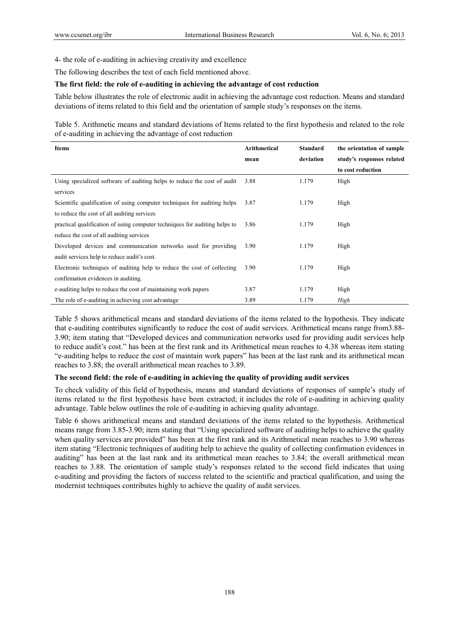4- the role of e-auditing in achieving creativity and excellence

The following describes the test of each field mentioned above.

#### **The first field: the role of e-auditing in achieving the advantage of cost reduction**

Table below illustrates the role of electronic audit in achieving the advantage cost reduction. Means and standard deviations of items related to this field and the orientation of sample study's responses on the items.

Table 5. Arithmetic means and standard deviations of Items related to the first hypothesis and related to the role of e-auditing in achieving the advantage of cost reduction

| <b>Items</b>                                                               | Arithmetical | <b>Standard</b> | the orientation of sample |
|----------------------------------------------------------------------------|--------------|-----------------|---------------------------|
|                                                                            | mean         | deviation       | study's responses related |
|                                                                            |              |                 | to cost reduction         |
| Using specialized software of auditing helps to reduce the cost of audit   | 3.88         | 1.179           | High                      |
| services                                                                   |              |                 |                           |
| Scientific qualification of using computer techniques for auditing helps   | 3.87         | 1.179           | High                      |
| to reduce the cost of all auditing services                                |              |                 |                           |
| practical qualification of using computer techniques for auditing helps to | 3.86         | 1.179           | High                      |
| reduce the cost of all auditing services                                   |              |                 |                           |
| Developed devices and communication networks used for providing            | 3.90         | 1.179           | High                      |
| audit services help to reduce audit's cost.                                |              |                 |                           |
| Electronic techniques of auditing help to reduce the cost of collecting    | 3.90         | 1.179           | High                      |
| confirmation evidences in auditing.                                        |              |                 |                           |
| e-auditing helps to reduce the cost of maintaining work papers             | 3.87         | 1.179           | High                      |
| The role of e-auditing in achieving cost advantage                         | 3.89         | 1.179           | High                      |

Table 5 shows arithmetical means and standard deviations of the items related to the hypothesis. They indicate that e-auditing contributes significantly to reduce the cost of audit services. Arithmetical means range from3.88- 3.90; item stating that "Developed devices and communication networks used for providing audit services help to reduce audit's cost." has been at the first rank and its Arithmetical mean reaches to 4.38 whereas item stating "e-auditing helps to reduce the cost of maintain work papers" has been at the last rank and its arithmetical mean reaches to 3.88; the overall arithmetical mean reaches to 3.89.

# **The second field: the role of e-auditing in achieving the quality of providing audit services**

To check validity of this field of hypothesis, means and standard deviations of responses of sample's study of items related to the first hypothesis have been extracted; it includes the role of e-auditing in achieving quality advantage. Table below outlines the role of e-auditing in achieving quality advantage.

Table 6 shows arithmetical means and standard deviations of the items related to the hypothesis. Arithmetical means range from 3.85-3.90; item stating that "Using specialized software of auditing helps to achieve the quality when quality services are provided" has been at the first rank and its Arithmetical mean reaches to 3.90 whereas item stating "Electronic techniques of auditing help to achieve the quality of collecting confirmation evidences in auditing" has been at the last rank and its arithmetical mean reaches to 3.84; the overall arithmetical mean reaches to 3.88. The orientation of sample study's responses related to the second field indicates that using e-auditing and providing the factors of success related to the scientific and practical qualification, and using the modernist techniques contributes highly to achieve the quality of audit services.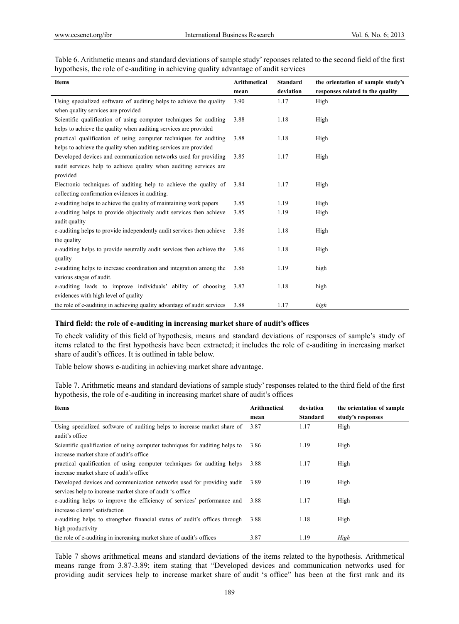| Table 6. Arithmetic means and standard deviations of sample study' reponses related to the second field of the first |
|----------------------------------------------------------------------------------------------------------------------|
| hypothesis, the role of e-auditing in achieving quality advantage of audit services                                  |

| <b>Items</b>                                                            | Arithmetical | <b>Standard</b> | the orientation of sample study's |
|-------------------------------------------------------------------------|--------------|-----------------|-----------------------------------|
|                                                                         | mean         | deviation       | responses related to the quality  |
| Using specialized software of auditing helps to achieve the quality     | 3.90         | 1.17            | High                              |
| when quality services are provided                                      |              |                 |                                   |
| Scientific qualification of using computer techniques for auditing      | 3.88         | 1.18            | High                              |
| helps to achieve the quality when auditing services are provided        |              |                 |                                   |
| practical qualification of using computer techniques for auditing       | 3.88         | 1.18            | High                              |
| helps to achieve the quality when auditing services are provided        |              |                 |                                   |
| Developed devices and communication networks used for providing         | 3.85         | 1.17            | High                              |
| audit services help to achieve quality when auditing services are       |              |                 |                                   |
| provided                                                                |              |                 |                                   |
| Electronic techniques of auditing help to achieve the quality of        | 3.84         | 1.17            | High                              |
| collecting confirmation evidences in auditing.                          |              |                 |                                   |
| e-auditing helps to achieve the quality of maintaining work papers      | 3.85         | 1.19            | High                              |
| e-auditing helps to provide objectively audit services then achieve     | 3.85         | 1.19            | High                              |
| audit quality                                                           |              |                 |                                   |
| e-auditing helps to provide independently audit services then achieve   | 3.86         | 1.18            | High                              |
| the quality                                                             |              |                 |                                   |
| e-auditing helps to provide neutrally audit services then achieve the   | 3.86         | 1.18            | High                              |
| quality                                                                 |              |                 |                                   |
| e-auditing helps to increase coordination and integration among the     | 3.86         | 1.19            | high                              |
| various stages of audit.                                                |              |                 |                                   |
| e-auditing leads to improve individuals' ability of choosing            | 3.87         | 1.18            | high                              |
| evidences with high level of quality                                    |              |                 |                                   |
| the role of e-auditing in achieving quality advantage of audit services | 3.88         | 1.17            | high                              |

#### **Third field: the role of e-auditing in increasing market share of audit's offices**

To check validity of this field of hypothesis, means and standard deviations of responses of sample's study of items related to the first hypothesis have been extracted; it includes the role of e-auditing in increasing market share of audit's offices. It is outlined in table below.

Table below shows e-auditing in achieving market share advantage.

Table 7. Arithmetic means and standard deviations of sample study' responses related to the third field of the first hypothesis, the role of e-auditing in increasing market share of audit's offices

| Items                                                                       | Arithmetical | deviation       | the orientation of sample |
|-----------------------------------------------------------------------------|--------------|-----------------|---------------------------|
|                                                                             | mean         | <b>Standard</b> | study's responses         |
| Using specialized software of auditing helps to increase market share of    | 3.87         | 1.17            | High                      |
| audit's office                                                              |              |                 |                           |
| Scientific qualification of using computer techniques for auditing helps to | 3.86         | 1.19            | High                      |
| increase market share of audit's office                                     |              |                 |                           |
| practical qualification of using computer techniques for auditing helps     | 3.88         | 1.17            | High                      |
| increase market share of audit's office                                     |              |                 |                           |
| Developed devices and communication networks used for providing audit       | 3.89         | 1.19            | High                      |
| services help to increase market share of audit 's office                   |              |                 |                           |
| e-auditing helps to improve the efficiency of services' performance and     | 3.88         | 1.17            | High                      |
| increase clients' satisfaction                                              |              |                 |                           |
| e-auditing helps to strengthen financial status of audit's offices through  | 3.88         | 1.18            | High                      |
| high productivity                                                           |              |                 |                           |
| the role of e-auditing in increasing market share of audit's offices        | 3.87         | 1.19            | High                      |

Table 7 shows arithmetical means and standard deviations of the items related to the hypothesis. Arithmetical means range from 3.87-3.89; item stating that "Developed devices and communication networks used for providing audit services help to increase market share of audit 's office" has been at the first rank and its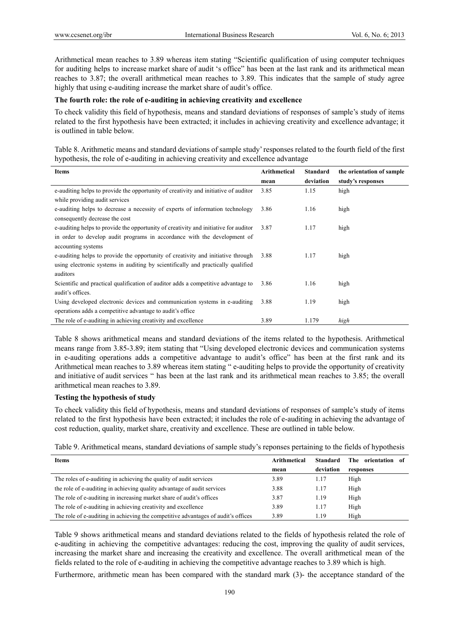Arithmetical mean reaches to 3.89 whereas item stating "Scientific qualification of using computer techniques for auditing helps to increase market share of audit 's office" has been at the last rank and its arithmetical mean reaches to 3.87; the overall arithmetical mean reaches to 3.89. This indicates that the sample of study agree highly that using e-auditing increase the market share of audit's office.

#### **The fourth role: the role of e-auditing in achieving creativity and excellence**

To check validity this field of hypothesis, means and standard deviations of responses of sample's study of items related to the first hypothesis have been extracted; it includes in achieving creativity and excellence advantage; it is outlined in table below.

Table 8. Arithmetic means and standard deviations of sample study' responses related to the fourth field of the first hypothesis, the role of e-auditing in achieving creativity and excellence advantage

| <b>Items</b>                                                                         | Arithmetical | <b>Standard</b> | the orientation of sample |
|--------------------------------------------------------------------------------------|--------------|-----------------|---------------------------|
|                                                                                      | mean         | deviation       | study's responses         |
| e-auditing helps to provide the opportunity of creativity and initiative of auditor  | 3.85         | 1.15            | high                      |
| while providing audit services                                                       |              |                 |                           |
| e-auditing helps to decrease a necessity of experts of information technology        | 3.86         | 1.16            | high                      |
| consequently decrease the cost                                                       |              |                 |                           |
| e-auditing helps to provide the opportunity of creativity and initiative for auditor | 3.87         | 1.17            | high                      |
| in order to develop audit programs in accordance with the development of             |              |                 |                           |
| accounting systems                                                                   |              |                 |                           |
| e-auditing helps to provide the opportunity of creativity and initiative through     | 3.88         | 1.17            | high                      |
| using electronic systems in auditing by scientifically and practically qualified     |              |                 |                           |
| auditors                                                                             |              |                 |                           |
| Scientific and practical qualification of auditor adds a competitive advantage to    | 3.86         | 1.16            | high                      |
| audit's offices.                                                                     |              |                 |                           |
| Using developed electronic devices and communication systems in e-auditing           | 3.88         | 1.19            | high                      |
| operations adds a competitive advantage to audit's office                            |              |                 |                           |
| The role of e-auditing in achieving creativity and excellence                        | 3.89         | 1.179           | high                      |

Table 8 shows arithmetical means and standard deviations of the items related to the hypothesis. Arithmetical means range from 3.85-3.89; item stating that "Using developed electronic devices and communication systems in e-auditing operations adds a competitive advantage to audit's office" has been at the first rank and its Arithmetical mean reaches to 3.89 whereas item stating " e-auditing helps to provide the opportunity of creativity and initiative of audit services " has been at the last rank and its arithmetical mean reaches to 3.85; the overall arithmetical mean reaches to 3.89.

# **Testing the hypothesis of study**

To check validity this field of hypothesis, means and standard deviations of responses of sample's study of items related to the first hypothesis have been extracted; it includes the role of e-auditing in achieving the advantage of cost reduction, quality, market share, creativity and excellence. These are outlined in table below.

|  |  |  |  |  | Table 9. Arithmetical means, standard deviations of sample study's reponses pertaining to the fields of hypothesis |
|--|--|--|--|--|--------------------------------------------------------------------------------------------------------------------|
|  |  |  |  |  |                                                                                                                    |

| <b>Items</b>                                                                      | Arithmetical | <b>Standard</b> | The orientation of |
|-----------------------------------------------------------------------------------|--------------|-----------------|--------------------|
|                                                                                   | mean         | deviation       | responses          |
| The roles of e-auditing in achieving the quality of audit services                | 3.89         | 1.17            | High               |
| the role of e-auditing in achieving quality advantage of audit services           | 3.88         | 1.17            | High               |
| The role of e-auditing in increasing market share of audit's offices              | 3.87         | 1.19            | High               |
| The role of e-auditing in achieving creativity and excellence                     | 3.89         | 1.17            | High               |
| The role of e-auditing in achieving the competitive advantages of audit's offices | 3.89         | L 19            | High               |

Table 9 shows arithmetical means and standard deviations related to the fields of hypothesis related the role of e-auditing in achieving the competitive advantages: reducing the cost, improving the quality of audit services, increasing the market share and increasing the creativity and excellence. The overall arithmetical mean of the fields related to the role of e-auditing in achieving the competitive advantage reaches to 3.89 which is high.

Furthermore, arithmetic mean has been compared with the standard mark (3)- the acceptance standard of the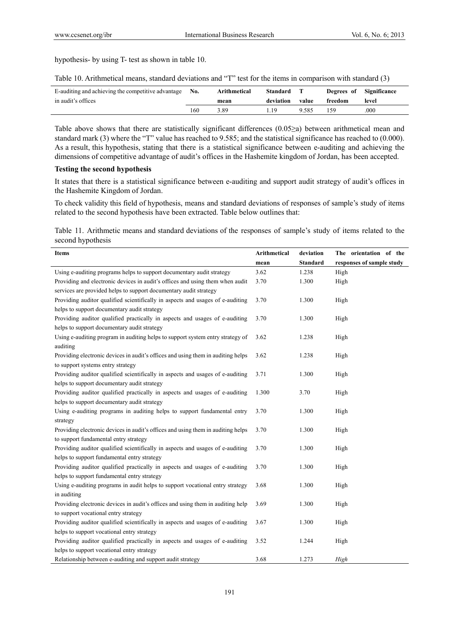hypothesis- by using T- test as shown in table 10.

| Table 10. Arithmetical means, standard deviations and "T" test for the items in comparison with standard (3) |  |  |  |  |
|--------------------------------------------------------------------------------------------------------------|--|--|--|--|
|                                                                                                              |  |  |  |  |

| E-auditing and achieving the competitive advantage | No. | Arithmetical | Standard  |       | Degrees of | Significance |
|----------------------------------------------------|-----|--------------|-----------|-------|------------|--------------|
| in audit's offices                                 |     | mean         | deviation | value | freedom    | level        |
|                                                    | 160 | 3.89         | . 19      | 9.585 | 15 G       | .000         |

Table above shows that there are statistically significant differences (0.05≥a) between arithmetical mean and standard mark (3) where the "T" value has reached to 9.585; and the statistical significance has reached to (0.000). As a result, this hypothesis, stating that there is a statistical significance between e-auditing and achieving the dimensions of competitive advantage of audit's offices in the Hashemite kingdom of Jordan, has been accepted.

## **Testing the second hypothesis**

It states that there is a statistical significance between e-auditing and support audit strategy of audit's offices in the Hashemite Kingdom of Jordan.

To check validity this field of hypothesis, means and standard deviations of responses of sample's study of items related to the second hypothesis have been extracted. Table below outlines that:

Table 11. Arithmetic means and standard deviations of the responses of sample's study of items related to the second hypothesis

| <b>Items</b>                                                                     | <b>Arithmetical</b> | deviation       | The orientation of the    |
|----------------------------------------------------------------------------------|---------------------|-----------------|---------------------------|
|                                                                                  | mean                | <b>Standard</b> | responses of sample study |
| Using e-auditing programs helps to support documentary audit strategy            | 3.62                | 1.238           | High                      |
| Providing and electronic devices in audit's offices and using them when audit    | 3.70                | 1.300           | High                      |
| services are provided helps to support documentary audit strategy                |                     |                 |                           |
| Providing auditor qualified scientifically in aspects and usages of e-auditing   | 3.70                | 1.300           | High                      |
| helps to support documentary audit strategy                                      |                     |                 |                           |
| Providing auditor qualified practically in aspects and usages of e-auditing      | 3.70                | 1.300           | High                      |
| helps to support documentary audit strategy                                      |                     |                 |                           |
| Using e-auditing program in auditing helps to support system entry strategy of   | 3.62                | 1.238           | High                      |
| auditing                                                                         |                     |                 |                           |
| Providing electronic devices in audit's offices and using them in auditing helps | 3.62                | 1.238           | High                      |
| to support systems entry strategy                                                |                     |                 |                           |
| Providing auditor qualified scientifically in aspects and usages of e-auditing   | 3.71                | 1.300           | High                      |
| helps to support documentary audit strategy                                      |                     |                 |                           |
| Providing auditor qualified practically in aspects and usages of e-auditing      | 1.300               | 3.70            | High                      |
| helps to support documentary audit strategy                                      |                     |                 |                           |
| Using e-auditing programs in auditing helps to support fundamental entry         | 3.70                | 1.300           | High                      |
| strategy                                                                         |                     |                 |                           |
| Providing electronic devices in audit's offices and using them in auditing helps | 3.70                | 1.300           | High                      |
| to support fundamental entry strategy                                            |                     |                 |                           |
| Providing auditor qualified scientifically in aspects and usages of e-auditing   | 3.70                | 1.300           | High                      |
| helps to support fundamental entry strategy                                      |                     |                 |                           |
| Providing auditor qualified practically in aspects and usages of e-auditing      | 3.70                | 1.300           | High                      |
| helps to support fundamental entry strategy                                      |                     |                 |                           |
| Using e-auditing programs in audit helps to support vocational entry strategy    | 3.68                | 1.300           | High                      |
| in auditing                                                                      |                     |                 |                           |
| Providing electronic devices in audit's offices and using them in auditing help  | 3.69                | 1.300           | High                      |
| to support vocational entry strategy                                             |                     |                 |                           |
| Providing auditor qualified scientifically in aspects and usages of e-auditing   | 3.67                | 1.300           | High                      |
| helps to support vocational entry strategy                                       |                     |                 |                           |
| Providing auditor qualified practically in aspects and usages of e-auditing      | 3.52                | 1.244           | High                      |
| helps to support vocational entry strategy                                       |                     |                 |                           |
| Relationship between e-auditing and support audit strategy                       | 3.68                | 1.273           | High                      |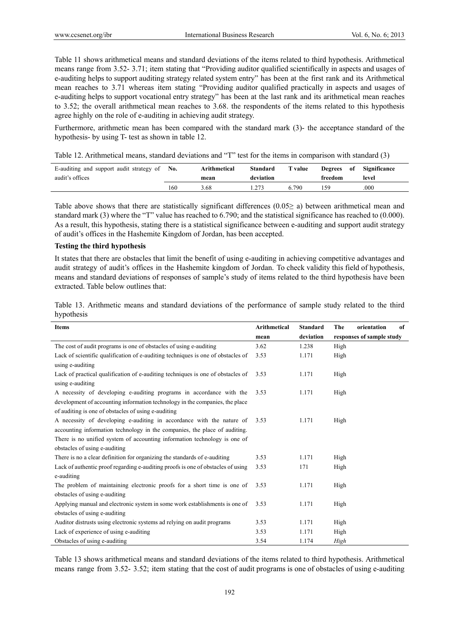Table 11 shows arithmetical means and standard deviations of the items related to third hypothesis. Arithmetical means range from 3.52- 3.71; item stating that "Providing auditor qualified scientifically in aspects and usages of e-auditing helps to support auditing strategy related system entry" has been at the first rank and its Arithmetical mean reaches to 3.71 whereas item stating "Providing auditor qualified practically in aspects and usages of e-auditing helps to support vocational entry strategy" has been at the last rank and its arithmetical mean reaches to 3.52; the overall arithmetical mean reaches to 3.68. the respondents of the items related to this hypothesis agree highly on the role of e-auditing in achieving audit strategy.

Furthermore, arithmetic mean has been compared with the standard mark (3)- the acceptance standard of the hypothesis- by using T- test as shown in table 12.

Table 12. Arithmetical means, standard deviations and "T" test for the items in comparison with standard (3)

| deviation |     | level   |
|-----------|-----|---------|
| 6 790     | 159 | 000     |
|           |     | freedom |

Table above shows that there are statistically significant differences ( $0.05\ge a$ ) between arithmetical mean and standard mark (3) where the "T" value has reached to 6.790; and the statistical significance has reached to (0.000). As a result, this hypothesis, stating there is a statistical significance between e-auditing and support audit strategy of audit's offices in the Hashemite Kingdom of Jordan, has been accepted.

#### **Testing the third hypothesis**

It states that there are obstacles that limit the benefit of using e-auditing in achieving competitive advantages and audit strategy of audit's offices in the Hashemite kingdom of Jordan. To check validity this field of hypothesis, means and standard deviations of responses of sample's study of items related to the third hypothesis have been extracted. Table below outlines that:

Table 13. Arithmetic means and standard deviations of the performance of sample study related to the third hypothesis

| <b>Items</b>                                                                     | <b>Arithmetical</b> | <b>Standard</b> | The                       | orientation | of |
|----------------------------------------------------------------------------------|---------------------|-----------------|---------------------------|-------------|----|
|                                                                                  | mean                | deviation       | responses of sample study |             |    |
| The cost of audit programs is one of obstacles of using e-auditing               | 3.62                | 1.238           | High                      |             |    |
| Lack of scientific qualification of e-auditing techniques is one of obstacles of | 3.53                | 1.171           | High                      |             |    |
| using e-auditing                                                                 |                     |                 |                           |             |    |
| Lack of practical qualification of e-auditing techniques is one of obstacles of  | 3.53                | 1.171           | High                      |             |    |
| using e-auditing                                                                 |                     |                 |                           |             |    |
| A necessity of developing e-auditing programs in accordance with the             | 3.53                | 1.171           | High                      |             |    |
| development of accounting information technology in the companies, the place     |                     |                 |                           |             |    |
| of auditing is one of obstacles of using e-auditing                              |                     |                 |                           |             |    |
| A necessity of developing e-auditing in accordance with the nature of            | 3.53                | 1.171           | High                      |             |    |
| accounting information technology in the companies, the place of auditing.       |                     |                 |                           |             |    |
| There is no unified system of accounting information technology is one of        |                     |                 |                           |             |    |
| obstacles of using e-auditing                                                    |                     |                 |                           |             |    |
| There is no a clear definition for organizing the standards of e-auditing        | 3.53                | 1.171           | High                      |             |    |
| Lack of authentic proof regarding e-auditing proofs is one of obstacles of using | 3.53                | 171             | High                      |             |    |
| e-auditing                                                                       |                     |                 |                           |             |    |
| The problem of maintaining electronic proofs for a short time is one of          | 3.53                | 1.171           | High                      |             |    |
| obstacles of using e-auditing                                                    |                     |                 |                           |             |    |
| Applying manual and electronic system in some work establishments is one of      | 3.53                | 1.171           | High                      |             |    |
| obstacles of using e-auditing                                                    |                     |                 |                           |             |    |
| Auditor distrusts using electronic systems ad relying on audit programs          | 3.53                | 1.171           | High                      |             |    |
| Lack of experience of using e-auditing                                           | 3.53                | 1.171           | High                      |             |    |
| Obstacles of using e-auditing                                                    | 3.54                | 1.174           | High                      |             |    |

Table 13 shows arithmetical means and standard deviations of the items related to third hypothesis. Arithmetical means range from 3.52- 3.52; item stating that the cost of audit programs is one of obstacles of using e-auditing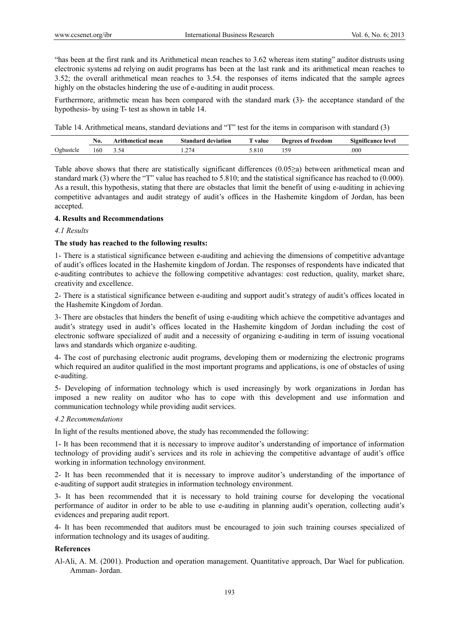"has been at the first rank and its Arithmetical mean reaches to 3.62 whereas item stating" auditor distrusts using electronic systems ad relying on audit programs has been at the last rank and its arithmetical mean reaches to 3.52; the overall arithmetical mean reaches to 3.54. the responses of items indicated that the sample agrees highly on the obstacles hindering the use of e-auditing in audit process.

Furthermore, arithmetic mean has been compared with the standard mark (3)- the acceptance standard of the hypothesis- by using T- test as shown in table 14.

Table 14. Arithmetical means, standard deviations and "T" test for the items in comparison with standard (3)

|           | No. | mean<br>hmetical | deviation<br>standard | value | ' freedom<br>Degrees of | Significance level |
|-----------|-----|------------------|-----------------------|-------|-------------------------|--------------------|
| Ogbastcle | 160 |                  | $-1$                  | .810  | 15 <sup>c</sup>         | .000               |

Table above shows that there are statistically significant differences (0.05≥a) between arithmetical mean and standard mark (3) where the "T" value has reached to 5.810; and the statistical significance has reached to (0.000). As a result, this hypothesis, stating that there are obstacles that limit the benefit of using e-auditing in achieving competitive advantages and audit strategy of audit's offices in the Hashemite kingdom of Jordan, has been accepted.

## **4. Results and Recommendations**

# *4.1 Results*

# **The study has reached to the following results:**

1- There is a statistical significance between e-auditing and achieving the dimensions of competitive advantage of audit's offices located in the Hashemite kingdom of Jordan. The responses of respondents have indicated that e-auditing contributes to achieve the following competitive advantages: cost reduction, quality, market share, creativity and excellence.

2- There is a statistical significance between e-auditing and support audit's strategy of audit's offices located in the Hashemite Kingdom of Jordan.

3- There are obstacles that hinders the benefit of using e-auditing which achieve the competitive advantages and audit's strategy used in audit's offices located in the Hashemite kingdom of Jordan including the cost of electronic software specialized of audit and a necessity of organizing e-auditing in term of issuing vocational laws and standards which organize e-auditing.

4- The cost of purchasing electronic audit programs, developing them or modernizing the electronic programs which required an auditor qualified in the most important programs and applications, is one of obstacles of using e-auditing.

5- Developing of information technology which is used increasingly by work organizations in Jordan has imposed a new reality on auditor who has to cope with this development and use information and communication technology while providing audit services.

#### *4.2 Recommendations*

In light of the results mentioned above, the study has recommended the following:

1- It has been recommend that it is necessary to improve auditor's understanding of importance of information technology of providing audit's services and its role in achieving the competitive advantage of audit's office working in information technology environment.

2- It has been recommended that it is necessary to improve auditor's understanding of the importance of e-auditing of support audit strategies in information technology environment.

3- It has been recommended that it is necessary to hold training course for developing the vocational performance of auditor in order to be able to use e-auditing in planning audit's operation, collecting audit's evidences and preparing audit report.

4- It has been recommended that auditors must be encouraged to join such training courses specialized of information technology and its usages of auditing.

#### **References**

Al-Ali, A. M. (2001). Production and operation management. Quantitative approach, Dar Wael for publication. Amman- Jordan.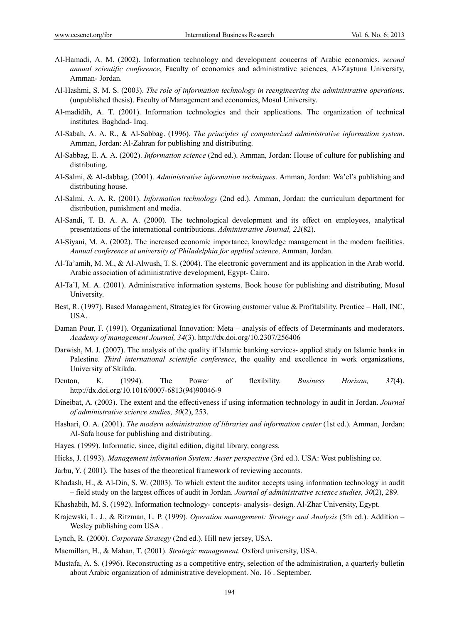- Al-Hamadi, A. M. (2002). Information technology and development concerns of Arabic economics. *second annual scientific conference*, Faculty of economics and administrative sciences, Al-Zaytuna University, Amman- Jordan.
- Al-Hashmi, S. M. S. (2003). *The role of information technology in reengineering the administrative operations*. (unpublished thesis). Faculty of Management and economics, Mosul University.
- Al-madidih, A. T. (2001). Information technologies and their applications. The organization of technical institutes. Baghdad- Iraq.
- Al-Sabah, A. A. R., & Al-Sabbag. (1996). *The principles of computerized administrative information system*. Amman, Jordan: Al-Zahran for publishing and distributing.
- Al-Sabbag, E. A. A. (2002). *Information science* (2nd ed.). Amman, Jordan: House of culture for publishing and distributing.
- Al-Salmi, & Al-dabbag. (2001). *Administrative information techniques*. Amman, Jordan: Wa'el's publishing and distributing house.
- Al-Salmi, A. A. R. (2001). *Information technology* (2nd ed.). Amman, Jordan: the curriculum department for distribution, punishment and media.
- Al-Sandi, T. B. A. A. A. (2000). The technological development and its effect on employees, analytical presentations of the international contributions. *Administrative Journal, 22*(82).
- Al-Siyani, M. A. (2002). The increased economic importance, knowledge management in the modern facilities. *Annual conference at university of Philadelphia for applied science,* Amman, Jordan.
- Al-Ta'amih, M. M., & Al-Alwush, T. S. (2004). The electronic government and its application in the Arab world. Arabic association of administrative development, Egypt- Cairo.
- Al-Ta'I, M. A. (2001). Administrative information systems. Book house for publishing and distributing, Mosul University.
- Best, R. (1997). Based Management, Strategies for Growing customer value & Profitability. Prentice Hall, INC, USA.
- Daman Pour, F. (1991). Organizational Innovation: Meta analysis of effects of Determinants and moderators. *Academy of management Journal, 34*(3). http://dx.doi.org/10.2307/256406
- Darwish, M. J. (2007). The analysis of the quality if Islamic banking services- applied study on Islamic banks in Palestine. *Third international scientific conference*, the quality and excellence in work organizations, University of Skikda.
- Denton, K. (1994). The Power of flexibility. *Business Horizan, 37*(4). http://dx.doi.org/10.1016/0007-6813(94)90046-9
- Dineibat, A. (2003). The extent and the effectiveness if using information technology in audit in Jordan. *Journal of administrative science studies, 30*(2), 253.
- Hashari, O. A. (2001). *The modern administration of libraries and information center* (1st ed.). Amman, Jordan: Al-Safa house for publishing and distributing.
- Hayes. (1999). Informatic, since, digital edition, digital library, congress.
- Hicks, J. (1993). *Management information System: Auser perspective* (3rd ed.). USA: West publishing co.
- Jarbu, Y. ( 2001). The bases of the theoretical framework of reviewing accounts.
- Khadash, H., & Al-Din, S. W. (2003). To which extent the auditor accepts using information technology in audit – field study on the largest offices of audit in Jordan. *Journal of administrative science studies, 30*(2), 289.
- Khashabih, M. S. (1992). Information technology- concepts- analysis- design. Al-Zhar University, Egypt.
- Krajewski, L. J., & Ritzman, L. P. (1999). *Operation management: Strategy and Analysis* (5th ed.). Addition Wesley publishing com USA .
- Lynch, R. (2000). *Corporate Strategy* (2nd ed.). Hill new jersey, USA.
- Macmillan, H., & Mahan, T. (2001). *Strategic management*. Oxford university, USA.
- Mustafa, A. S. (1996). Reconstructing as a competitive entry, selection of the administration, a quarterly bulletin about Arabic organization of administrative development. No. 16 . September.